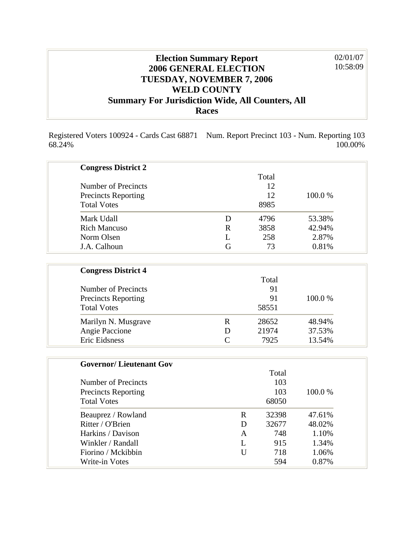## **Election Summary Report 2006 GENERAL ELECTION TUESDAY, NOVEMBER 7, 2006 WELD COUNTY Summary For Jurisdiction Wide, All Counters, All Races** 02/01/07 10:58:09

Registered Voters 100924 - Cards Cast 68871 Num. Report Precinct 103 - Num. Reporting 103 68.24% 100.00%

| <b>Congress District 2</b> |   |       |         |
|----------------------------|---|-------|---------|
|                            |   | Total |         |
| Number of Precincts        |   | 12    |         |
| <b>Precincts Reporting</b> |   | 12    | 100.0 % |
| <b>Total Votes</b>         |   | 8985  |         |
| Mark Udall                 | D | 4796  | 53.38%  |
| Rich Mancuso               | R | 3858  | 42.94%  |
| Norm Olsen                 |   | 258   | 2.87%   |
| J.A. Calhoun               | G | 73    | 0.81%   |
|                            |   |       |         |

| <b>Congress District 4</b> |   |       |         |
|----------------------------|---|-------|---------|
|                            |   | Total |         |
| Number of Precincts        |   | 91    |         |
| <b>Precincts Reporting</b> |   | 91    | 100.0 % |
| <b>Total Votes</b>         |   | 58551 |         |
| Marilyn N. Musgrave        | R | 28652 | 48.94%  |
| Angie Paccione             | D | 21974 | 37.53%  |
| Eric Eidsness              | C | 7925  | 13.54%  |

| <b>Governor/Lieutenant Gov</b> |   |       |         |
|--------------------------------|---|-------|---------|
|                                |   | Total |         |
| Number of Precincts            |   | 103   |         |
| <b>Precincts Reporting</b>     |   | 103   | 100.0 % |
| <b>Total Votes</b>             |   | 68050 |         |
| Beauprez / Rowland             | R | 32398 | 47.61%  |
| Ritter / O'Brien               | D | 32677 | 48.02%  |
| Harkins / Davison              | A | 748   | 1.10%   |
| Winkler / Randall              |   | 915   | 1.34%   |
| Fiorino / Mckibbin             | U | 718   | 1.06%   |
| Write-in Votes                 |   | 594   | 0.87%   |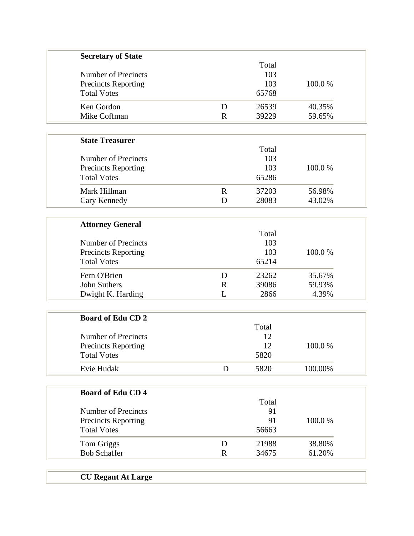| <b>Secretary of State</b>                        |             |              |         |
|--------------------------------------------------|-------------|--------------|---------|
|                                                  |             | Total        |         |
| Number of Precincts                              |             | 103          |         |
| <b>Precincts Reporting</b><br><b>Total Votes</b> |             | 103<br>65768 | 100.0%  |
|                                                  |             |              |         |
| Ken Gordon                                       | D           | 26539        | 40.35%  |
| Mike Coffman                                     | $\mathbf R$ | 39229        | 59.65%  |
| <b>State Treasurer</b>                           |             |              |         |
|                                                  |             | Total        |         |
| Number of Precincts                              |             | 103          |         |
| <b>Precincts Reporting</b>                       |             | 103          | 100.0%  |
| <b>Total Votes</b>                               |             | 65286        |         |
| Mark Hillman                                     | $\mathbf R$ | 37203        | 56.98%  |
| Cary Kennedy                                     | D           | 28083        | 43.02%  |
|                                                  |             |              |         |
| <b>Attorney General</b>                          |             | Total        |         |
| <b>Number of Precincts</b>                       |             | 103          |         |
| <b>Precincts Reporting</b>                       |             | 103          | 100.0%  |
| <b>Total Votes</b>                               |             | 65214        |         |
| Fern O'Brien                                     | D           | 23262        | 35.67%  |
| John Suthers                                     | $\mathbf R$ | 39086        | 59.93%  |
| Dwight K. Harding                                | L           | 2866         | 4.39%   |
| <b>Board of Edu CD 2</b>                         |             |              |         |
|                                                  |             | Total        |         |
| Number of Precincts                              |             | 12           |         |
| <b>Precincts Reporting</b>                       |             | 12           | 100.0%  |
| <b>Total Votes</b>                               |             | 5820         |         |
| Evie Hudak                                       | D           | 5820         | 100.00% |
|                                                  |             |              |         |
| <b>Board of Edu CD 4</b>                         |             | Total        |         |
| Number of Precincts                              |             | 91           |         |
| <b>Precincts Reporting</b>                       |             | 91           | 100.0%  |
| <b>Total Votes</b>                               |             | 56663        |         |
| Tom Griggs                                       | D           | 21988        | 38.80%  |
|                                                  |             |              |         |

**CU Regant At Large**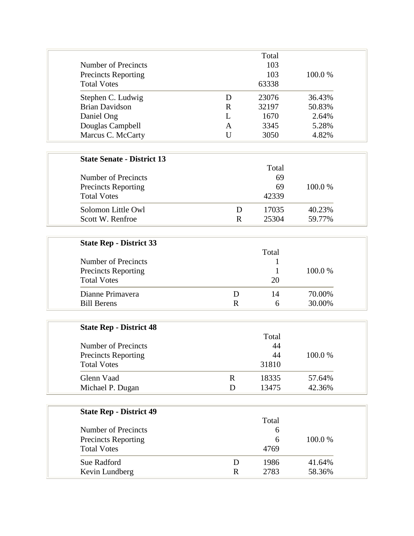|                                   |              | Total |        |
|-----------------------------------|--------------|-------|--------|
| <b>Number of Precincts</b>        |              | 103   |        |
| <b>Precincts Reporting</b>        |              | 103   | 100.0% |
| <b>Total Votes</b>                |              | 63338 |        |
| Stephen C. Ludwig                 | D            | 23076 | 36.43% |
| <b>Brian Davidson</b>             | $\mathbf R$  | 32197 | 50.83% |
| Daniel Ong                        | L            | 1670  | 2.64%  |
| Douglas Campbell                  | $\mathbf{A}$ | 3345  | 5.28%  |
| Marcus C. McCarty                 | U            | 3050  | 4.82%  |
|                                   |              |       |        |
| <b>State Senate - District 13</b> |              |       |        |
|                                   |              | Total |        |
| Number of Precincts               |              | 69    |        |
| <b>Precincts Reporting</b>        |              | 69    | 100.0% |
| <b>Total Votes</b>                |              | 42339 |        |
| Solomon Little Owl                | D            | 17035 | 40.23% |
| Scott W. Renfroe                  | $\mathbf R$  | 25304 | 59.77% |
|                                   |              |       |        |
| <b>State Rep - District 33</b>    |              |       |        |
|                                   |              | Total |        |
| Number of Precincts               |              | 1     |        |
| <b>Precincts Reporting</b>        |              | 1     | 100.0% |
| <b>Total Votes</b>                |              | 20    |        |
| Dianne Primavera                  | D            | 14    | 70.00% |
| <b>Bill Berens</b>                | $\mathbf R$  | 6     | 30.00% |
|                                   |              |       |        |
| <b>State Rep - District 48</b>    |              |       |        |
|                                   |              | Total |        |
| Number of Precincts               |              | 44    |        |
| <b>Precincts Reporting</b>        |              | 44    | 100.0% |
| <b>Total Votes</b>                |              | 31810 |        |
| Glenn Vaad                        | $\mathbf R$  | 18335 | 57.64% |
| Michael P. Dugan                  | D            | 13475 | 42.36% |
|                                   |              |       |        |
| <b>State Rep - District 49</b>    |              |       |        |
|                                   |              | Total |        |
| Number of Precincts               |              | 6     |        |
| <b>Precincts Reporting</b>        |              | 6     | 100.0% |
| <b>Total Votes</b>                |              | 4769  |        |
| Sue Radford                       | D            | 1986  | 41.64% |
| Kevin Lundberg                    | $\mathbb{R}$ | 2783  | 58.36% |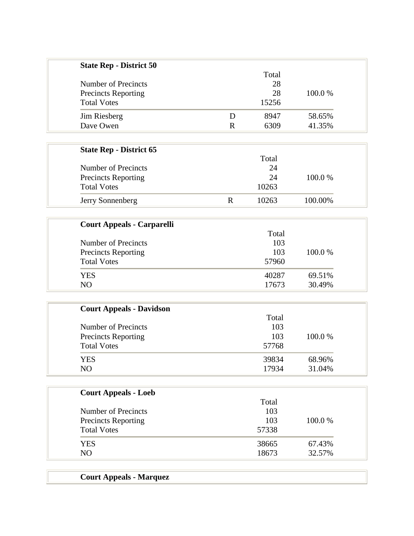|   | Total |         |
|---|-------|---------|
|   | 28    |         |
|   | 28    | 100.0 % |
|   | 15256 |         |
|   | 8947  | 58.65%  |
| R | 6309  | 41.35%  |
|   |       |         |

| <b>State Rep - District 65</b> |       |         |
|--------------------------------|-------|---------|
|                                | Total |         |
| Number of Precincts            | 24    |         |
| <b>Precincts Reporting</b>     | 24    | 100.0 % |
| <b>Total Votes</b>             | 10263 |         |
| Jerry Sonnenberg               | 10263 | 100.00% |

| <b>Court Appeals - Carparelli</b> |       |         |
|-----------------------------------|-------|---------|
|                                   | Total |         |
| Number of Precincts               | 103   | 100.0 % |
| <b>Precincts Reporting</b>        | 103   |         |
| <b>Total Votes</b>                | 57960 |         |
| YES                               | 40287 | 69.51%  |
| NO.                               | 17673 | 30.49%  |

| <b>Court Appeals - Davidson</b> |       |         |
|---------------------------------|-------|---------|
|                                 | Total |         |
| Number of Precincts             | 103   |         |
| <b>Precincts Reporting</b>      | 103   | 100.0 % |
| <b>Total Votes</b>              | 57768 |         |
| <b>YES</b>                      | 39834 | 68.96%  |
| N <sub>O</sub>                  | 17934 | 31.04%  |

| <b>Court Appeals - Loeb</b> |       |         |
|-----------------------------|-------|---------|
|                             | Total |         |
| Number of Precincts         | 103   |         |
| <b>Precincts Reporting</b>  | 103   | 100.0 % |
| <b>Total Votes</b>          | 57338 |         |
| <b>YES</b>                  | 38665 | 67.43%  |
| NO.                         | 18673 | 32.57%  |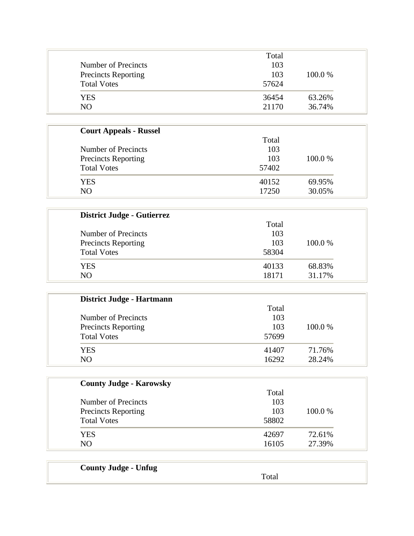| Number of Precincts<br>Precincts Reporting | Total<br>103<br>103 | 100.0 % |
|--------------------------------------------|---------------------|---------|
| <b>Total Votes</b>                         | 57624               |         |
| <b>YES</b>                                 | 36454               | 63.26%  |
| N <sub>O</sub>                             | 21170               | 36.74%  |

| <b>Court Appeals - Russel</b> |       |         |
|-------------------------------|-------|---------|
|                               | Total |         |
| Number of Precincts           | 103   |         |
| <b>Precincts Reporting</b>    | 103   | 100.0 % |
| <b>Total Votes</b>            | 57402 |         |
| YES.                          | 40152 | 69.95%  |
| NO                            | 17250 | 30.05%  |

| <b>District Judge - Gutierrez</b> |       |         |
|-----------------------------------|-------|---------|
|                                   | Total |         |
| Number of Precincts               | 103   |         |
| <b>Precincts Reporting</b>        | 103   | 100.0 % |
| <b>Total Votes</b>                | 58304 |         |
| YES.                              | 40133 | 68.83%  |
| N <sub>O</sub>                    | 18171 | 31.17%  |

| District Judge - Hartmann  |       |         |
|----------------------------|-------|---------|
|                            | Total |         |
| Number of Precincts        | 103   |         |
| <b>Precincts Reporting</b> | 103   | 100.0 % |
| <b>Total Votes</b>         | 57699 |         |
| YES.                       | 41407 | 71.76%  |
| NO                         | 16292 | 28.24%  |

| <b>County Judge - Karowsky</b> |       |         |
|--------------------------------|-------|---------|
|                                | Total |         |
| Number of Precincts            | 103   |         |
| <b>Precincts Reporting</b>     | 103   | 100.0 % |
| <b>Total Votes</b>             | 58802 |         |
| YES.                           | 42697 | 72.61%  |
| NO                             | 16105 | 27.39%  |

| <b>County Judge - Unfug</b> |      |
|-----------------------------|------|
|                             | dtai |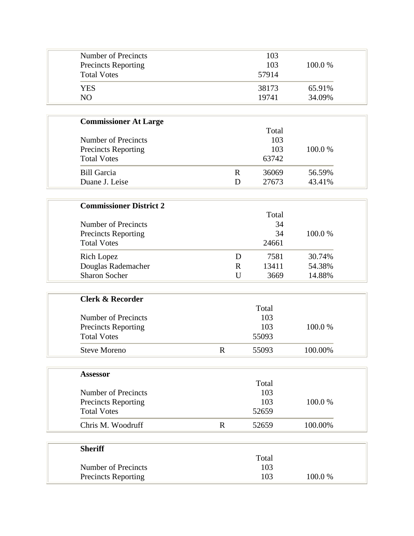| Number of Precincts<br><b>Precincts Reporting</b><br><b>Total Votes</b> | 103<br>103<br>57914 | 100.0 % |
|-------------------------------------------------------------------------|---------------------|---------|
| YES                                                                     | 38173               | 65.91%  |
| NO                                                                      | 19741               | 34.09%  |

| <b>Commissioner At Large</b> |   |       |         |
|------------------------------|---|-------|---------|
|                              |   | Total |         |
| Number of Precincts          |   | 103   |         |
| <b>Precincts Reporting</b>   |   | 103   | 100.0 % |
| <b>Total Votes</b>           |   | 63742 |         |
| Bill Garcia                  | R | 36069 | 56.59%  |
| Duane J. Leise               | Ð | 27673 | 43.41%  |

| <b>Commissioner District 2</b> |   |       |        |
|--------------------------------|---|-------|--------|
|                                |   | Total |        |
| Number of Precincts            |   | 34    |        |
| <b>Precincts Reporting</b>     |   | 34    | 100.0% |
| <b>Total Votes</b>             |   | 24661 |        |
| Rich Lopez                     | Ð | 7581  | 30.74% |
| Douglas Rademacher             | R | 13411 | 54.38% |
| <b>Sharon Socher</b>           | U | 3669  | 14.88% |

| <b>Clerk &amp; Recorder</b> |   |       |         |
|-----------------------------|---|-------|---------|
|                             |   | Total |         |
| Number of Precincts         |   | 103   |         |
| <b>Precincts Reporting</b>  |   | 103   | 100.0 % |
| <b>Total Votes</b>          |   | 55093 |         |
| Steve Moreno                | R | 55093 | 100.00% |

| Assessor                   |       |         |
|----------------------------|-------|---------|
|                            | Total |         |
| Number of Precincts        | 103   |         |
| <b>Precincts Reporting</b> | 103   | 100.0 % |
| <b>Total Votes</b>         | 52659 |         |
| Chris M. Woodruff          | 52659 | 100.00% |

| <b>Sheriff</b>             |       |         |
|----------------------------|-------|---------|
|                            | Total |         |
| Number of Precincts        | 103   |         |
| <b>Precincts Reporting</b> | 103   | 100.0 % |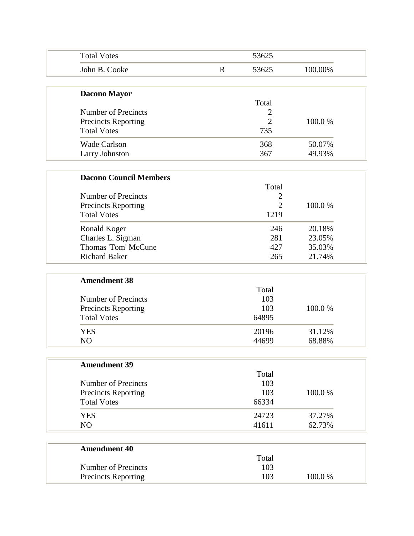| <b>Total Votes</b>            |             | 53625          |         |
|-------------------------------|-------------|----------------|---------|
| John B. Cooke                 | $\mathbf R$ | 53625          | 100.00% |
|                               |             |                |         |
| Dacono Mayor                  |             |                |         |
|                               |             | Total          |         |
| Number of Precincts           |             | 2              |         |
| <b>Precincts Reporting</b>    |             | $\overline{2}$ | 100.0%  |
| <b>Total Votes</b>            |             | 735            |         |
| <b>Wade Carlson</b>           |             | 368            | 50.07%  |
| Larry Johnston                |             | 367            | 49.93%  |
|                               |             |                |         |
| <b>Dacono Council Members</b> |             |                |         |
|                               |             | Total          |         |
| <b>Number of Precincts</b>    |             | $\overline{2}$ |         |
| <b>Precincts Reporting</b>    |             | $\overline{2}$ | 100.0%  |
| <b>Total Votes</b>            |             | 1219           |         |
| Ronald Koger                  |             | 246            | 20.18%  |
| Charles L. Sigman             |             | 281            | 23.05%  |
| <b>Thomas 'Tom' McCune</b>    |             | 427            | 35.03%  |
| <b>Richard Baker</b>          |             | 265            | 21.74%  |
| <b>Amendment 38</b>           |             |                |         |
|                               |             | Total          |         |
| <b>Number of Precincts</b>    |             | 103            |         |
|                               |             | 103            | 100.0%  |
| <b>Precincts Reporting</b>    |             |                |         |

| <b>Precincts Reporting</b><br><b>Total Votes</b> | 103<br>64895 | 100.0% |
|--------------------------------------------------|--------------|--------|
| <b>YES</b>                                       | 20196        | 31.12% |
| NО                                               | 44699        | 68.88% |

| <b>Amendment 39</b>        |       |         |
|----------------------------|-------|---------|
|                            | Total |         |
| Number of Precincts        | 103   |         |
| <b>Precincts Reporting</b> | 103   | 100.0 % |
| <b>Total Votes</b>         | 66334 |         |
| <b>YES</b>                 | 24723 | 37.27%  |
| NO                         | 41611 | 62.73%  |

| <b>Amendment 40</b>        |       |           |
|----------------------------|-------|-----------|
|                            | Total |           |
| Number of Precincts        | 103   |           |
| <b>Precincts Reporting</b> | 103   | $100.0\%$ |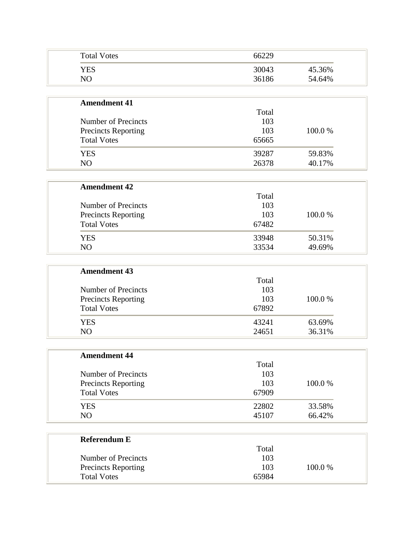| <b>Total Votes</b> | 66229 |        |
|--------------------|-------|--------|
| YES                | 30043 | 45.36% |
| NO                 | 36186 | 54.64% |

| Total |         |
|-------|---------|
|       |         |
| 103   |         |
| 103   | 100.0 % |
| 65665 |         |
| 39287 | 59.83%  |
| 26378 | 40.17%  |
|       |         |

| <b>Amendment 42</b>        |       |         |
|----------------------------|-------|---------|
|                            | Total |         |
| Number of Precincts        | 103   |         |
| <b>Precincts Reporting</b> | 103   | 100.0 % |
| <b>Total Votes</b>         | 67482 |         |
| <b>YES</b>                 | 33948 | 50.31%  |
| NO.                        | 33534 | 49.69%  |

| <b>Amendment 43</b>        |       |         |
|----------------------------|-------|---------|
|                            | Total |         |
| Number of Precincts        | 103   |         |
| <b>Precincts Reporting</b> | 103   | 100.0 % |
| <b>Total Votes</b>         | 67892 |         |
| <b>YES</b>                 | 43241 | 63.69%  |
| N <sub>O</sub>             | 24651 | 36.31%  |

| <b>Amendment 44</b>        |       |         |
|----------------------------|-------|---------|
|                            | Total |         |
| Number of Precincts        | 103   |         |
| <b>Precincts Reporting</b> | 103   | 100.0 % |
| <b>Total Votes</b>         | 67909 |         |
| <b>YES</b>                 | 22802 | 33.58%  |
| N <sub>O</sub>             | 45107 | 66.42%  |

| <b>Referendum E</b>        |       |         |
|----------------------------|-------|---------|
|                            | Total |         |
| Number of Precincts        | 103   |         |
| <b>Precincts Reporting</b> | 103   | 100.0 % |
| <b>Total Votes</b>         | 65984 |         |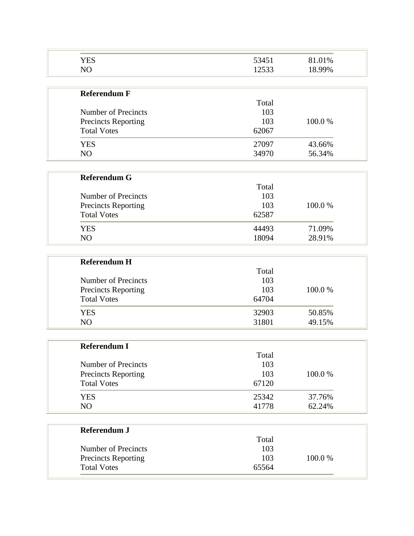| $1\%$<br>$\overline{\phantom{0}}$<br>99% |
|------------------------------------------|
|                                          |

| <b>Referendum F</b>        |       |         |
|----------------------------|-------|---------|
|                            | Total |         |
| Number of Precincts        | 103   |         |
| <b>Precincts Reporting</b> | 103   | 100.0 % |
| <b>Total Votes</b>         | 62067 |         |
| <b>YES</b>                 | 27097 | 43.66%  |
| NO                         | 34970 | 56.34%  |
|                            |       |         |

| <b>Referendum G</b>        |       |         |
|----------------------------|-------|---------|
|                            | Total |         |
| Number of Precincts        | 103   |         |
| <b>Precincts Reporting</b> | 103   | 100.0 % |
| <b>Total Votes</b>         | 62587 |         |
| <b>YES</b>                 | 44493 | 71.09%  |
| N()                        | 18094 | 28.91%  |

| <b>Referendum H</b>        |       |         |
|----------------------------|-------|---------|
|                            | Total |         |
| Number of Precincts        | 103   |         |
| <b>Precincts Reporting</b> | 103   | 100.0 % |
| <b>Total Votes</b>         | 64704 |         |
| <b>YES</b>                 | 32903 | 50.85%  |
| N <sub>O</sub>             | 31801 | 49.15%  |

| <b>Referendum I</b>        |       |         |
|----------------------------|-------|---------|
|                            | Total |         |
| Number of Precincts        | 103   |         |
| <b>Precincts Reporting</b> | 103   | 100.0 % |
| <b>Total Votes</b>         | 67120 |         |
| <b>YES</b>                 | 25342 | 37.76%  |
| NO.                        | 41778 | 62.24%  |

| <b>Referendum J</b>        |       |         |
|----------------------------|-------|---------|
|                            | Total |         |
| Number of Precincts        | 103   |         |
| <b>Precincts Reporting</b> | 103   | 100.0 % |
| <b>Total Votes</b>         | 65564 |         |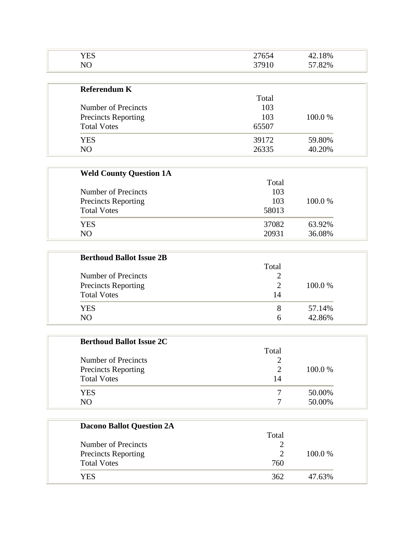|  | റം.<br>YV <sub>o</sub><br>∕⊍ |
|--|------------------------------|
|  | .82%                         |

| <b>Referendum K</b>        |       |         |
|----------------------------|-------|---------|
|                            | Total |         |
| Number of Precincts        | 103   |         |
| <b>Precincts Reporting</b> | 103   | 100.0 % |
| <b>Total Votes</b>         | 65507 |         |
| <b>YES</b>                 | 39172 | 59.80%  |
| NΟ                         | 26335 | 40.20%  |

| <b>Weld County Question 1A</b> |       |         |
|--------------------------------|-------|---------|
|                                | Total |         |
| Number of Precincts            | 103   |         |
| <b>Precincts Reporting</b>     | 103   | 100.0 % |
| <b>Total Votes</b>             | 58013 |         |
| <b>YES</b>                     | 37082 | 63.92%  |
| NO.                            | 20931 | 36.08%  |

| <b>Berthoud Ballot Issue 2B</b> |       |         |
|---------------------------------|-------|---------|
|                                 | Total |         |
| Number of Precincts             |       |         |
| <b>Precincts Reporting</b>      |       | 100.0 % |
| <b>Total Votes</b>              | 14    |         |
| <b>YES</b>                      | 8     | 57.14%  |
| NΩ                              | h     | 42.86%  |

| <b>Berthoud Ballot Issue 2C</b> |       |         |
|---------------------------------|-------|---------|
|                                 | Total |         |
| Number of Precincts             |       |         |
| <b>Precincts Reporting</b>      |       | 100.0 % |
| <b>Total Votes</b>              | 14    |         |
| <b>YES</b>                      |       | 50.00%  |
| NΟ                              |       | 50.00%  |

| <b>Dacono Ballot Question 2A</b> |       |         |
|----------------------------------|-------|---------|
|                                  | Total |         |
| Number of Precincts              |       |         |
| <b>Precincts Reporting</b>       |       | 100.0 % |
| <b>Total Votes</b>               | 760   |         |
| YES                              | 362   | 47.63%  |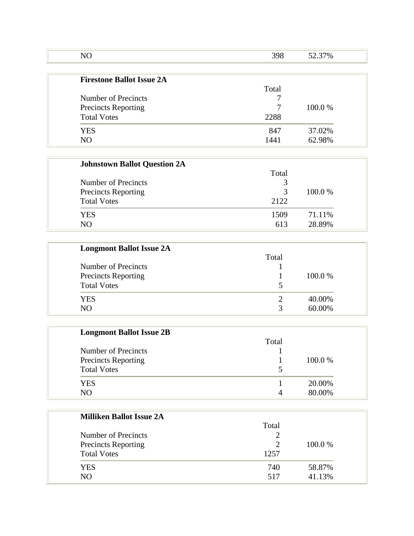| NO.                              | 398   | 52.37%  |
|----------------------------------|-------|---------|
| <b>Firestone Ballot Issue 2A</b> |       |         |
|                                  | Total |         |
| Number of Precincts              |       |         |
| <b>Precincts Reporting</b>       | 7     | 100.0 % |
| <b>Total Votes</b>               | 2288  |         |
| <b>YES</b>                       | 847   | 37.02%  |
| NO                               | 1441  | 62.98%  |

| <b>Johnstown Ballot Question 2A</b> |       |         |
|-------------------------------------|-------|---------|
|                                     | Total |         |
| Number of Precincts                 |       |         |
| <b>Precincts Reporting</b>          | 3     | 100.0 % |
| <b>Total Votes</b>                  | 2122  |         |
| <b>YES</b>                          | 1509  | 71.11\% |
| NΟ                                  | 613   | 28.89%  |

| <b>Longmont Ballot Issue 2A</b> |       |         |
|---------------------------------|-------|---------|
|                                 | Total |         |
| Number of Precincts             |       |         |
| <b>Precincts Reporting</b>      |       | 100.0 % |
| <b>Total Votes</b>              | 5     |         |
| <b>YES</b>                      |       | 40.00%  |
| N <sub>O</sub>                  | 3     | 60.00%  |

| <b>Longmont Ballot Issue 2B</b> |       |         |
|---------------------------------|-------|---------|
|                                 | Total |         |
| Number of Precincts             |       |         |
| <b>Precincts Reporting</b>      |       | 100.0 % |
| <b>Total Votes</b>              | 5     |         |
| YES                             |       | 20.00%  |
| NΟ                              | 4     | 80.00%  |

| <b>Milliken Ballot Issue 2A</b> |       |         |
|---------------------------------|-------|---------|
|                                 | Total |         |
| Number of Precincts             |       |         |
| <b>Precincts Reporting</b>      |       | 100.0 % |
| <b>Total Votes</b>              | 1257  |         |
| <b>YES</b>                      | 740   | 58.87%  |
| N <sub>O</sub>                  | 517   | 41.13%  |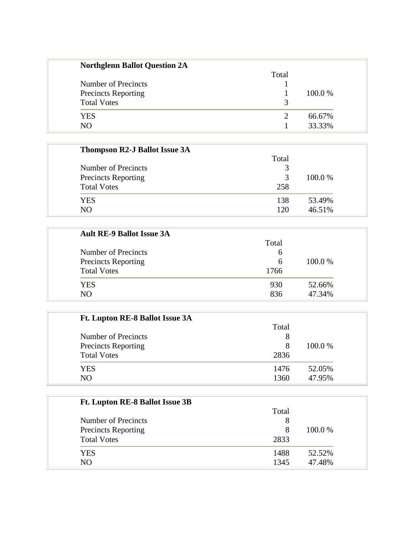| <b>Northglenn Ballot Question 2A</b> |       |         |
|--------------------------------------|-------|---------|
|                                      | Total |         |
| Number of Precincts                  |       |         |
| <b>Precincts Reporting</b>           |       | 100.0 % |
| <b>Total Votes</b>                   | 3     |         |
| YES.                                 |       | 66.67%  |
| NΟ                                   |       | 33.33%  |

| <b>Thompson R2-J Ballot Issue 3A</b> |       |         |
|--------------------------------------|-------|---------|
|                                      | Total |         |
| Number of Precincts                  |       |         |
| <b>Precincts Reporting</b>           | 3     | 100.0 % |
| <b>Total Votes</b>                   | 258   |         |
| <b>YES</b>                           | 138   | 53.49%  |
| NΩ                                   | 120   | 46.51%  |

| Total |         |
|-------|---------|
| 6     |         |
| 6     | 100.0 % |
| 1766  |         |
| 930   | 52.66%  |
| 836   | 47.34%  |
|       |         |

| Ft. Lupton RE-8 Ballot Issue 3A |       |         |
|---------------------------------|-------|---------|
|                                 | Total |         |
| Number of Precincts             | 8     |         |
| <b>Precincts Reporting</b>      | 8     | 100.0 % |
| <b>Total Votes</b>              | 2836  |         |
| YES                             | 1476  | 52.05%  |
| N <sub>O</sub>                  | 1360  | 47.95%  |

| <b>Ft. Lupton RE-8 Ballot Issue 3B</b> |       |         |
|----------------------------------------|-------|---------|
|                                        | Total |         |
| Number of Precincts                    | 8     |         |
| <b>Precincts Reporting</b>             | 8     | 100.0 % |
| <b>Total Votes</b>                     | 2833  |         |
| YES                                    | 1488  | 52.52%  |
| N <sub>O</sub>                         | 1345  | 47.48%  |